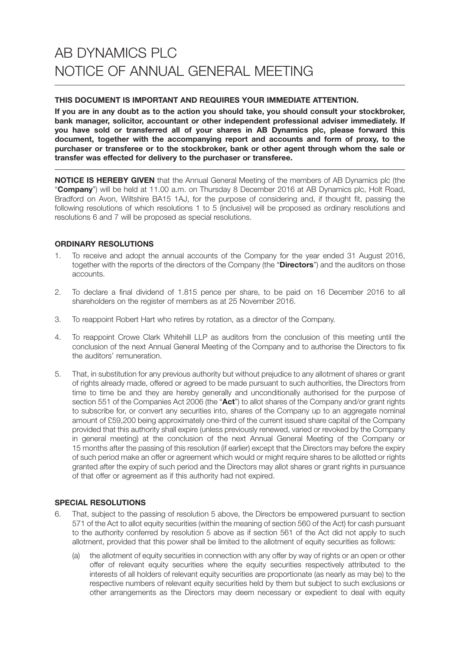## **THIS DOCUMENT IS IMPORTANT AND REQUIRES YOUR IMMEDIATE ATTENTION.**

**If you are in any doubt as to the action you should take, you should consult your stockbroker, bank manager, solicitor, accountant or other independent professional adviser immediately. If you have sold or transferred all of your shares in AB Dynamics plc, please forward this document, together with the accompanying report and accounts and form of proxy, to the purchaser or transferee or to the stockbroker, bank or other agent through whom the sale or transfer was effected for delivery to the purchaser or transferee.**

**NOTICE IS HEREBY GIVEN** that the Annual General Meeting of the members of AB Dynamics plc (the "**Company**") will be held at 11.00 a.m. on Thursday 8 December 2016 at AB Dynamics plc, Holt Road, Bradford on Avon, Wiltshire BA15 1AJ, for the purpose of considering and, if thought fit, passing the following resolutions of which resolutions 1 to 5 (inclusive) will be proposed as ordinary resolutions and resolutions 6 and 7 will be proposed as special resolutions.

# **ORDINARY RESOLUTIONS**

- 1. To receive and adopt the annual accounts of the Company for the year ended 31 August 2016, together with the reports of the directors of the Company (the "**Directors**") and the auditors on those accounts.
- 2. To declare a final dividend of 1.815 pence per share, to be paid on 16 December 2016 to all shareholders on the register of members as at 25 November 2016.
- 3. To reappoint Robert Hart who retires by rotation, as a director of the Company.
- 4. To reappoint Crowe Clark Whitehill LLP as auditors from the conclusion of this meeting until the conclusion of the next Annual General Meeting of the Company and to authorise the Directors to fix the auditors' remuneration.
- 5. That, in substitution for any previous authority but without prejudice to any allotment of shares or grant of rights already made, offered or agreed to be made pursuant to such authorities, the Directors from time to time be and they are hereby generally and unconditionally authorised for the purpose of section 551 of the Companies Act 2006 (the "**Act**") to allot shares of the Company and/or grant rights to subscribe for, or convert any securities into, shares of the Company up to an aggregate nominal amount of £59,200 being approximately one-third of the current issued share capital of the Company provided that this authority shall expire (unless previously renewed, varied or revoked by the Company in general meeting) at the conclusion of the next Annual General Meeting of the Company or 15 months after the passing of this resolution (if earlier) except that the Directors may before the expiry of such period make an offer or agreement which would or might require shares to be allotted or rights granted after the expiry of such period and the Directors may allot shares or grant rights in pursuance of that offer or agreement as if this authority had not expired.

# **SPECIAL RESOLUTIONS**

- 6. That, subject to the passing of resolution 5 above, the Directors be empowered pursuant to section 571 of the Act to allot equity securities (within the meaning of section 560 of the Act) for cash pursuant to the authority conferred by resolution 5 above as if section 561 of the Act did not apply to such allotment, provided that this power shall be limited to the allotment of equity securities as follows:
	- (a) the allotment of equity securities in connection with any offer by way of rights or an open or other offer of relevant equity securities where the equity securities respectively attributed to the interests of all holders of relevant equity securities are proportionate (as nearly as may be) to the respective numbers of relevant equity securities held by them but subject to such exclusions or other arrangements as the Directors may deem necessary or expedient to deal with equity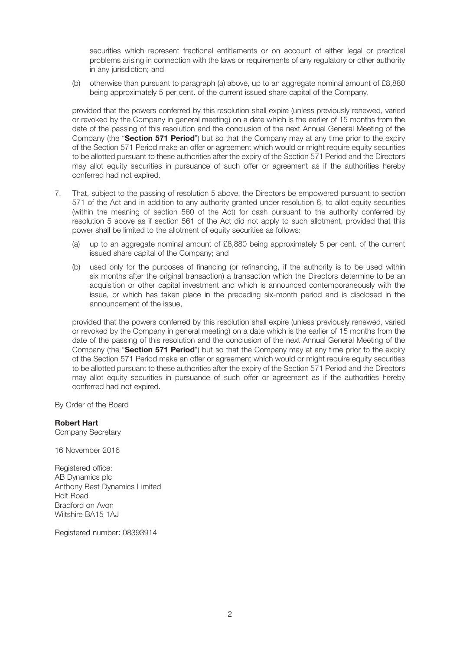securities which represent fractional entitlements or on account of either legal or practical problems arising in connection with the laws or requirements of any regulatory or other authority in any jurisdiction; and

 (b) otherwise than pursuant to paragraph (a) above, up to an aggregate nominal amount of £8,880 being approximately 5 per cent. of the current issued share capital of the Company,

 provided that the powers conferred by this resolution shall expire (unless previously renewed, varied or revoked by the Company in general meeting) on a date which is the earlier of 15 months from the date of the passing of this resolution and the conclusion of the next Annual General Meeting of the Company (the "**Section 571 Period**") but so that the Company may at any time prior to the expiry of the Section 571 Period make an offer or agreement which would or might require equity securities to be allotted pursuant to these authorities after the expiry of the Section 571 Period and the Directors may allot equity securities in pursuance of such offer or agreement as if the authorities hereby conferred had not expired.

- 7. That, subject to the passing of resolution 5 above, the Directors be empowered pursuant to section 571 of the Act and in addition to any authority granted under resolution 6, to allot equity securities (within the meaning of section 560 of the Act) for cash pursuant to the authority conferred by resolution 5 above as if section 561 of the Act did not apply to such allotment, provided that this power shall be limited to the allotment of equity securities as follows:
	- (a) up to an aggregate nominal amount of £8,880 being approximately 5 per cent. of the current issued share capital of the Company; and
	- (b) used only for the purposes of financing (or refinancing, if the authority is to be used within six months after the original transaction) a transaction which the Directors determine to be an acquisition or other capital investment and which is announced contemporaneously with the issue, or which has taken place in the preceding six-month period and is disclosed in the announcement of the issue,

 provided that the powers conferred by this resolution shall expire (unless previously renewed, varied or revoked by the Company in general meeting) on a date which is the earlier of 15 months from the date of the passing of this resolution and the conclusion of the next Annual General Meeting of the Company (the "**Section 571 Period**") but so that the Company may at any time prior to the expiry of the Section 571 Period make an offer or agreement which would or might require equity securities to be allotted pursuant to these authorities after the expiry of the Section 571 Period and the Directors may allot equity securities in pursuance of such offer or agreement as if the authorities hereby conferred had not expired.

By Order of the Board

#### **Robert Hart**

Company Secretary

16 November 2016

Registered office: AB Dynamics plc Anthony Best Dynamics Limited Holt Road Bradford on Avon Wiltshire BA15 1AJ

Registered number: 08393914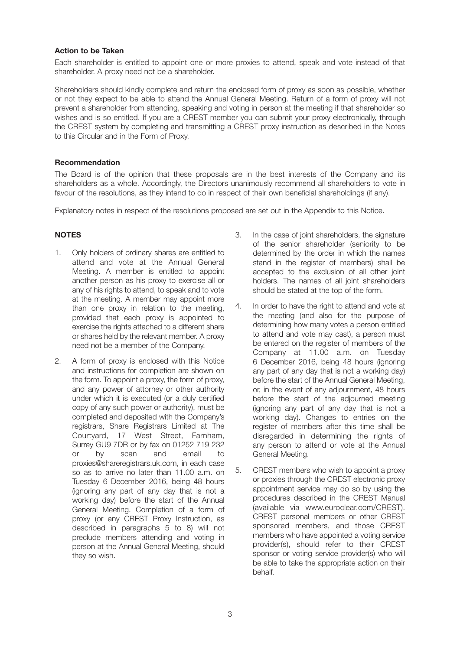### **Action to be Taken**

Each shareholder is entitled to appoint one or more proxies to attend, speak and vote instead of that shareholder. A proxy need not be a shareholder.

Shareholders should kindly complete and return the enclosed form of proxy as soon as possible, whether or not they expect to be able to attend the Annual General Meeting. Return of a form of proxy will not prevent a shareholder from attending, speaking and voting in person at the meeting if that shareholder so wishes and is so entitled. If you are a CREST member you can submit your proxy electronically, through the CREST system by completing and transmitting a CREST proxy instruction as described in the Notes to this Circular and in the Form of Proxy.

### **Recommendation**

The Board is of the opinion that these proposals are in the best interests of the Company and its shareholders as a whole. Accordingly, the Directors unanimously recommend all shareholders to vote in favour of the resolutions, as they intend to do in respect of their own beneficial shareholdings (if any).

Explanatory notes in respect of the resolutions proposed are set out in the Appendix to this Notice.

# **NOTES**

- 1. Only holders of ordinary shares are entitled to attend and vote at the Annual General Meeting. A member is entitled to appoint another person as his proxy to exercise all or any of his rights to attend, to speak and to vote at the meeting. A member may appoint more than one proxy in relation to the meeting, provided that each proxy is appointed to exercise the rights attached to a different share or shares held by the relevant member. A proxy need not be a member of the Company.
- 2. A form of proxy is enclosed with this Notice and instructions for completion are shown on the form. To appoint a proxy, the form of proxy, and any power of attorney or other authority under which it is executed (or a duly certified copy of any such power or authority), must be completed and deposited with the Company's registrars, Share Registrars Limited at The Courtyard, 17 West Street, Farnham, Surrey GU9 7DR or by fax on 01252 719 232 or by scan and email to proxies@shareregistrars.uk.com, in each case so as to arrive no later than 11.00 a.m. on Tuesday 6 December 2016, being 48 hours (ignoring any part of any day that is not a working day) before the start of the Annual General Meeting. Completion of a form of proxy (or any CREST Proxy Instruction, as described in paragraphs 5 to 8) will not preclude members attending and voting in person at the Annual General Meeting, should they so wish.
- 3. In the case of joint shareholders, the signature of the senior shareholder (seniority to be determined by the order in which the names stand in the register of members) shall be accepted to the exclusion of all other joint holders. The names of all joint shareholders should be stated at the top of the form.
- 4. In order to have the right to attend and vote at the meeting (and also for the purpose of determining how many votes a person entitled to attend and vote may cast), a person must be entered on the register of members of the Company at 11.00 a.m. on Tuesday 6 December 2016, being 48 hours (ignoring any part of any day that is not a working day) before the start of the Annual General Meeting, or, in the event of any adjournment, 48 hours before the start of the adjourned meeting (ignoring any part of any day that is not a working day). Changes to entries on the register of members after this time shall be disregarded in determining the rights of any person to attend or vote at the Annual General Meeting.
- 5. CREST members who wish to appoint a proxy or proxies through the CREST electronic proxy appointment service may do so by using the procedures described in the CREST Manual (available via www.euroclear.com/CREST). CREST personal members or other CREST sponsored members, and those CREST members who have appointed a voting service provider(s), should refer to their CREST sponsor or voting service provider(s) who will be able to take the appropriate action on their behalf.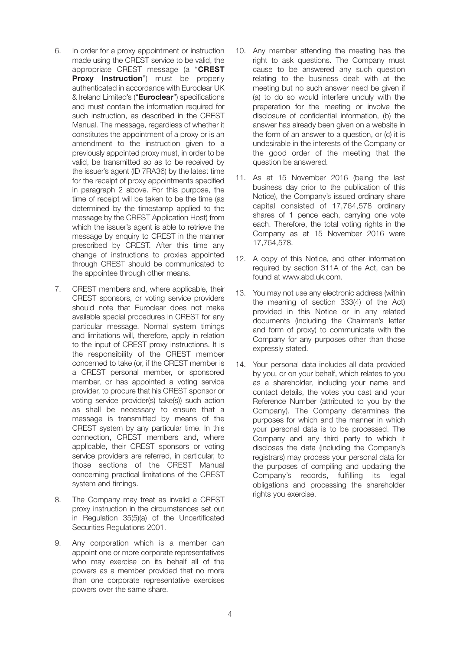- 6. In order for a proxy appointment or instruction made using the CREST service to be valid, the appropriate CREST message (a "**CREST Proxy Instruction**") must be properly authenticated in accordance with Euroclear UK & Ireland Limited's ("**Euroclear**") specifications and must contain the information required for such instruction, as described in the CREST Manual. The message, regardless of whether it constitutes the appointment of a proxy or is an amendment to the instruction given to a previously appointed proxy must, in order to be valid, be transmitted so as to be received by the issuer's agent (ID 7RA36) by the latest time for the receipt of proxy appointments specified in paragraph 2 above. For this purpose, the time of receipt will be taken to be the time (as determined by the timestamp applied to the message by the CREST Application Host) from which the issuer's agent is able to retrieve the message by enquiry to CREST in the manner prescribed by CREST. After this time any change of instructions to proxies appointed through CREST should be communicated to the appointee through other means.
- 7. CREST members and, where applicable, their CREST sponsors, or voting service providers should note that Euroclear does not make available special procedures in CREST for any particular message. Normal system timings and limitations will, therefore, apply in relation to the input of CREST proxy instructions. It is the responsibility of the CREST member concerned to take (or, if the CREST member is a CREST personal member, or sponsored member, or has appointed a voting service provider, to procure that his CREST sponsor or voting service provider(s) take(s)) such action as shall be necessary to ensure that a message is transmitted by means of the CREST system by any particular time. In this connection, CREST members and, where applicable, their CREST sponsors or voting service providers are referred, in particular, to those sections of the CREST Manual concerning practical limitations of the CREST system and timings.
- 8. The Company may treat as invalid a CREST proxy instruction in the circumstances set out in Regulation 35(5)(a) of the Uncertificated Securities Regulations 2001.
- 9. Any corporation which is a member can appoint one or more corporate representatives who may exercise on its behalf all of the powers as a member provided that no more than one corporate representative exercises powers over the same share.
- 10. Any member attending the meeting has the right to ask questions. The Company must cause to be answered any such question relating to the business dealt with at the meeting but no such answer need be given if (a) to do so would interfere unduly with the preparation for the meeting or involve the disclosure of confidential information, (b) the answer has already been given on a website in the form of an answer to a question, or (c) it is undesirable in the interests of the Company or the good order of the meeting that the question be answered.
- 11. As at 15 November 2016 (being the last business day prior to the publication of this Notice), the Company's issued ordinary share capital consisted of 17,764,578 ordinary shares of 1 pence each, carrying one vote each. Therefore, the total voting rights in the Company as at 15 November 2016 were 17,764,578.
- 12. A copy of this Notice, and other information required by section 311A of the Act, can be found at www.abd.uk.com.
- 13. You may not use any electronic address (within the meaning of section 333(4) of the Act) provided in this Notice or in any related documents (including the Chairman's letter and form of proxy) to communicate with the Company for any purposes other than those expressly stated.
- 14. Your personal data includes all data provided by you, or on your behalf, which relates to you as a shareholder, including your name and contact details, the votes you cast and your Reference Number (attributed to you by the Company). The Company determines the purposes for which and the manner in which your personal data is to be processed. The Company and any third party to which it discloses the data (including the Company's registrars) may process your personal data for the purposes of compiling and updating the Company's records, fulfilling its legal obligations and processing the shareholder rights you exercise.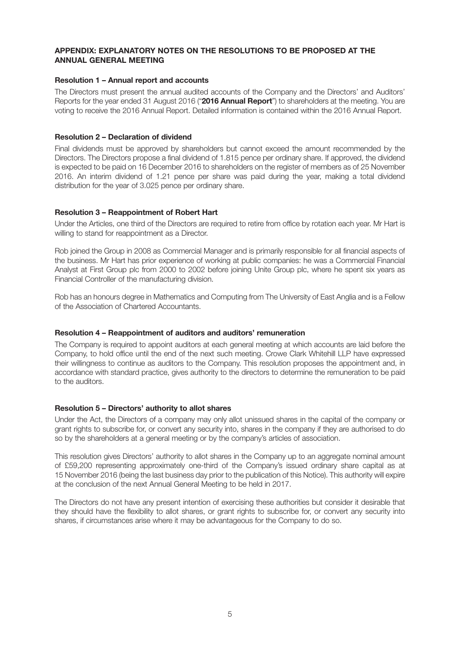### **APPENDIX: EXPLANATORY NOTES ON THE RESOLUTIONS TO BE PROPOSED AT THE ANNUAL GENERAL MEETING**

# **Resolution 1 – Annual report and accounts**

The Directors must present the annual audited accounts of the Company and the Directors' and Auditors' Reports for the year ended 31 August 2016 ("**2016 Annual Report**") to shareholders at the meeting. You are voting to receive the 2016 Annual Report. Detailed information is contained within the 2016 Annual Report.

### **Resolution 2 – Declaration of dividend**

Final dividends must be approved by shareholders but cannot exceed the amount recommended by the Directors. The Directors propose a final dividend of 1.815 pence per ordinary share. If approved, the dividend is expected to be paid on 16 December 2016 to shareholders on the register of members as of 25 November 2016. An interim dividend of 1.21 pence per share was paid during the year, making a total dividend distribution for the year of 3.025 pence per ordinary share.

### **Resolution 3 – Reappointment of Robert Hart**

Under the Articles, one third of the Directors are required to retire from office by rotation each year. Mr Hart is willing to stand for reappointment as a Director.

Rob joined the Group in 2008 as Commercial Manager and is primarily responsible for all financial aspects of the business. Mr Hart has prior experience of working at public companies: he was a Commercial Financial Analyst at First Group plc from 2000 to 2002 before joining Unite Group plc, where he spent six years as Financial Controller of the manufacturing division.

Rob has an honours degree in Mathematics and Computing from The University of East Anglia and is a Fellow of the Association of Chartered Accountants.

#### **Resolution 4 – Reappointment of auditors and auditors' remuneration**

The Company is required to appoint auditors at each general meeting at which accounts are laid before the Company, to hold office until the end of the next such meeting. Crowe Clark Whitehill LLP have expressed their willingness to continue as auditors to the Company. This resolution proposes the appointment and, in accordance with standard practice, gives authority to the directors to determine the remuneration to be paid to the auditors.

### **Resolution 5 – Directors' authority to allot shares**

Under the Act, the Directors of a company may only allot unissued shares in the capital of the company or grant rights to subscribe for, or convert any security into, shares in the company if they are authorised to do so by the shareholders at a general meeting or by the company's articles of association.

This resolution gives Directors' authority to allot shares in the Company up to an aggregate nominal amount of £59,200 representing approximately one-third of the Company's issued ordinary share capital as at 15 November 2016 (being the last business day prior to the publication of this Notice). This authority will expire at the conclusion of the next Annual General Meeting to be held in 2017.

The Directors do not have any present intention of exercising these authorities but consider it desirable that they should have the flexibility to allot shares, or grant rights to subscribe for, or convert any security into shares, if circumstances arise where it may be advantageous for the Company to do so.